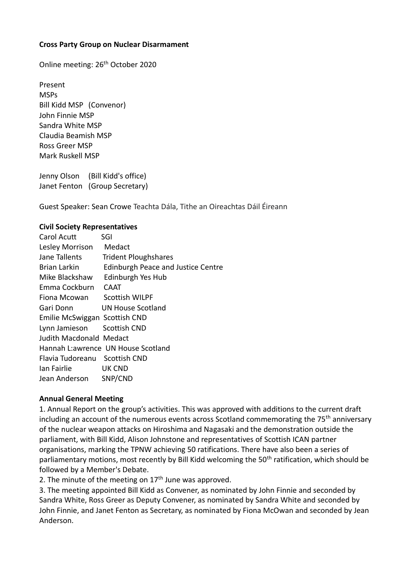## **Cross Party Group on Nuclear Disarmament**

Online meeting: 26th October 2020

Present MSPs Bill Kidd MSP (Convenor) John Finnie MSP Sandra White MSP Claudia Beamish MSP Ross Greer MSP Mark Ruskell MSP

Jenny Olson (Bill Kidd's office) Janet Fenton (Group Secretary)

Guest Speaker: Sean Crowe Teachta Dála, Tithe an Oireachtas Dáil Éireann

#### **Civil Society Representatives**

| Carol Acutt                   | SGI                                       |
|-------------------------------|-------------------------------------------|
| Lesley Morrison               | Medact                                    |
| Jane Tallents                 | <b>Trident Ploughshares</b>               |
| Brian Larkin                  | <b>Edinburgh Peace and Justice Centre</b> |
| Mike Blackshaw                | Edinburgh Yes Hub                         |
| Emma Cockburn                 | <b>CAAT</b>                               |
| Fiona Mcowan                  | Scottish WILPF                            |
| Gari Donn                     | UN House Scotland                         |
| Emilie McSwiggan Scottish CND |                                           |
| Lynn Jamieson Scottish CND    |                                           |
| Judith Macdonald Medact       |                                           |
|                               | Hannah L: awrence UN House Scotland       |
| Flavia Tudoreanu Scottish CND |                                           |
| lan Fairlie                   | <b>UK CND</b>                             |
| Jean Anderson SNP/CND         |                                           |

#### **Annual General Meeting**

1. Annual Report on the group's activities. This was approved with additions to the current draft including an account of the numerous events across Scotland commemorating the 75<sup>th</sup> anniversary of the nuclear weapon attacks on Hiroshima and Nagasaki and the demonstration outside the parliament, with Bill Kidd, Alison Johnstone and representatives of Scottish ICAN partner organisations, marking the TPNW achieving 50 ratifications. There have also been a series of parliamentary motions, most recently by Bill Kidd welcoming the 50<sup>th</sup> ratification, which should be followed by a Member's Debate.

2. The minute of the meeting on  $17<sup>th</sup>$  June was approved.

3. The meeting appointed Bill Kidd as Convener, as nominated by John Finnie and seconded by Sandra White, Ross Greer as Deputy Convener, as nominated by Sandra White and seconded by John Finnie, and Janet Fenton as Secretary, as nominated by Fiona McOwan and seconded by Jean Anderson.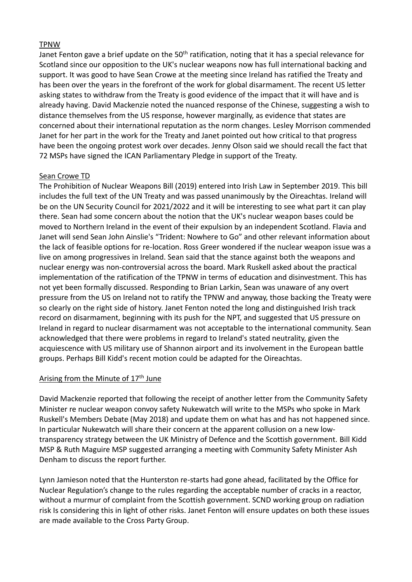## TPNW

Janet Fenton gave a brief update on the 50<sup>th</sup> ratification, noting that it has a special relevance for Scotland since our opposition to the UK's nuclear weapons now has full international backing and support. It was good to have Sean Crowe at the meeting since Ireland has ratified the Treaty and has been over the years in the forefront of the work for global disarmament. The recent US letter asking states to withdraw from the Treaty is good evidence of the impact that it will have and is already having. David Mackenzie noted the nuanced response of the Chinese, suggesting a wish to distance themselves from the US response, however marginally, as evidence that states are concerned about their international reputation as the norm changes. Lesley Morrison commended Janet for her part in the work for the Treaty and Janet pointed out how critical to that progress have been the ongoing protest work over decades. Jenny Olson said we should recall the fact that 72 MSPs have signed the ICAN Parliamentary Pledge in support of the Treaty.

## Sean Crowe TD

The Prohibition of Nuclear Weapons Bill (2019) entered into Irish Law in September 2019. This bill includes the full text of the UN Treaty and was passed unanimously by the Oireachtas. Ireland will be on the UN Security Council for 2021/2022 and it will be interesting to see what part it can play there. Sean had some concern about the notion that the UK's nuclear weapon bases could be moved to Northern Ireland in the event of their expulsion by an independent Scotland. Flavia and Janet will send Sean John Ainslie's "Trident: Nowhere to Go" and other relevant information about the lack of feasible options for re-location. Ross Greer wondered if the nuclear weapon issue was a live on among progressives in Ireland. Sean said that the stance against both the weapons and nuclear energy was non-controversial across the board. Mark Ruskell asked about the practical implementation of the ratification of the TPNW in terms of education and disinvestment. This has not yet been formally discussed. Responding to Brian Larkin, Sean was unaware of any overt pressure from the US on Ireland not to ratify the TPNW and anyway, those backing the Treaty were so clearly on the right side of history. Janet Fenton noted the long and distinguished Irish track record on disarmament, beginning with its push for the NPT, and suggested that US pressure on Ireland in regard to nuclear disarmament was not acceptable to the international community. Sean acknowledged that there were problems in regard to Ireland's stated neutrality, given the acquiescence with US military use of Shannon airport and its involvement in the European battle groups. Perhaps Bill Kidd's recent motion could be adapted for the Oireachtas.

# Arising from the Minute of 17<sup>th</sup> June

David Mackenzie reported that following the receipt of another letter from the Community Safety Minister re nuclear weapon convoy safety Nukewatch will write to the MSPs who spoke in Mark Ruskell's Members Debate (May 2018) and update them on what has and has not happened since. In particular Nukewatch will share their concern at the apparent collusion on a new lowtransparency strategy between the UK Ministry of Defence and the Scottish government. Bill Kidd MSP & Ruth Maguire MSP suggested arranging a meeting with Community Safety Minister Ash Denham to discuss the report further.

Lynn Jamieson noted that the Hunterston re-starts had gone ahead, facilitated by the Office for Nuclear Regulation's change to the rules regarding the acceptable number of cracks in a reactor, without a murmur of complaint from the Scottish government. SCND working group on radiation risk Is considering this in light of other risks. Janet Fenton will ensure updates on both these issues are made available to the Cross Party Group.